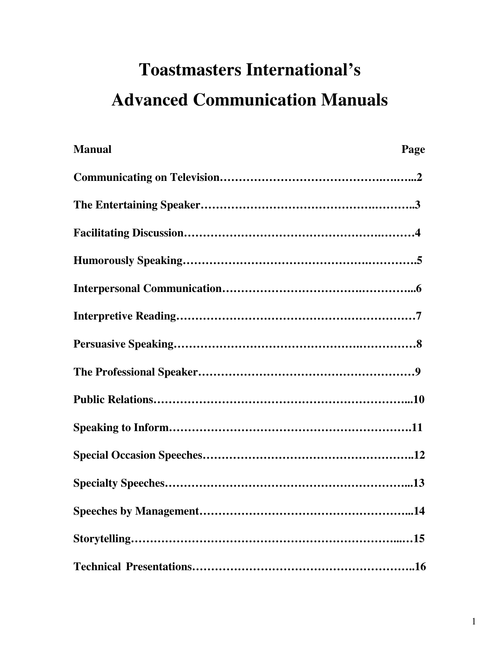# **Toastmasters International's Advanced Communication Manuals**

| <b>Manual</b> | Page |
|---------------|------|
|               |      |
|               |      |
|               |      |
|               |      |
|               |      |
|               |      |
|               |      |
|               |      |
|               |      |
|               |      |
|               |      |
|               |      |
|               |      |
|               |      |
|               |      |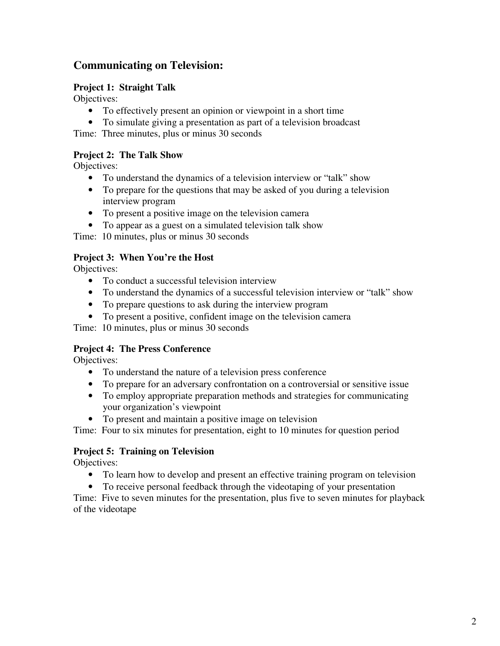# **Communicating on Television:**

### **Project 1: Straight Talk**

Objectives:

- To effectively present an opinion or viewpoint in a short time
- To simulate giving a presentation as part of a television broadcast

Time: Three minutes, plus or minus 30 seconds

### **Project 2: The Talk Show**

Objectives:

- To understand the dynamics of a television interview or "talk" show
- To prepare for the questions that may be asked of you during a television interview program
- To present a positive image on the television camera
- To appear as a guest on a simulated television talk show

Time: 10 minutes, plus or minus 30 seconds

#### **Project 3: When You're the Host**

Objectives:

- To conduct a successful television interview
- To understand the dynamics of a successful television interview or "talk" show
- To prepare questions to ask during the interview program
- To present a positive, confident image on the television camera

Time: 10 minutes, plus or minus 30 seconds

#### **Project 4: The Press Conference**

Objectives:

- To understand the nature of a television press conference
- To prepare for an adversary confrontation on a controversial or sensitive issue
- To employ appropriate preparation methods and strategies for communicating your organization's viewpoint
- To present and maintain a positive image on television

Time: Four to six minutes for presentation, eight to 10 minutes for question period

#### **Project 5: Training on Television**

Objectives:

- To learn how to develop and present an effective training program on television
- To receive personal feedback through the videotaping of your presentation

Time: Five to seven minutes for the presentation, plus five to seven minutes for playback of the videotape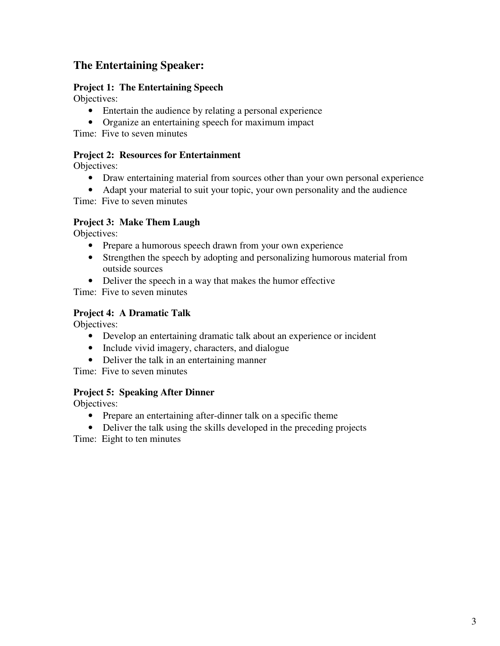# **The Entertaining Speaker:**

### **Project 1: The Entertaining Speech**

Objectives:

- Entertain the audience by relating a personal experience
- Organize an entertaining speech for maximum impact

Time: Five to seven minutes

### **Project 2: Resources for Entertainment**

Objectives:

- Draw entertaining material from sources other than your own personal experience
- Adapt your material to suit your topic, your own personality and the audience

Time: Five to seven minutes

# **Project 3: Make Them Laugh**

Objectives:

- Prepare a humorous speech drawn from your own experience
- Strengthen the speech by adopting and personalizing humorous material from outside sources
- Deliver the speech in a way that makes the humor effective

Time: Five to seven minutes

# **Project 4: A Dramatic Talk**

Objectives:

- Develop an entertaining dramatic talk about an experience or incident
- Include vivid imagery, characters, and dialogue
- Deliver the talk in an entertaining manner

Time: Five to seven minutes

# **Project 5: Speaking After Dinner**

Objectives:

- Prepare an entertaining after-dinner talk on a specific theme
- Deliver the talk using the skills developed in the preceding projects

Time: Eight to ten minutes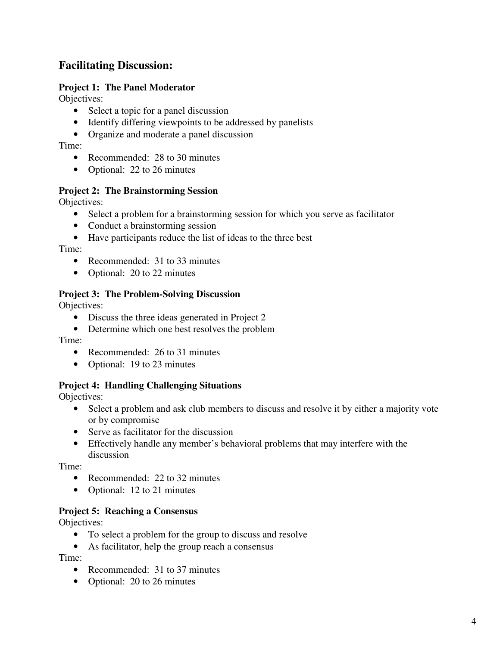# **Facilitating Discussion:**

### **Project 1: The Panel Moderator**

Objectives:

- Select a topic for a panel discussion
- Identify differing viewpoints to be addressed by panelists
- Organize and moderate a panel discussion

Time:

- Recommended: 28 to 30 minutes
- Optional: 22 to 26 minutes

#### **Project 2: The Brainstorming Session**

Objectives:

- Select a problem for a brainstorming session for which you serve as facilitator
- Conduct a brainstorming session
- Have participants reduce the list of ideas to the three best

Time:

- Recommended: 31 to 33 minutes
- Optional: 20 to 22 minutes

#### **Project 3: The Problem-Solving Discussion**

Objectives:

- Discuss the three ideas generated in Project 2
- Determine which one best resolves the problem

Time:

- Recommended: 26 to 31 minutes
- Optional: 19 to 23 minutes

#### **Project 4: Handling Challenging Situations**

Objectives:

- Select a problem and ask club members to discuss and resolve it by either a majority vote or by compromise
- Serve as facilitator for the discussion
- Effectively handle any member's behavioral problems that may interfere with the discussion

Time:

- Recommended: 22 to 32 minutes
- Optional: 12 to 21 minutes

#### **Project 5: Reaching a Consensus**

Objectives:

- To select a problem for the group to discuss and resolve
- As facilitator, help the group reach a consensus

Time:

- Recommended: 31 to 37 minutes
- Optional: 20 to 26 minutes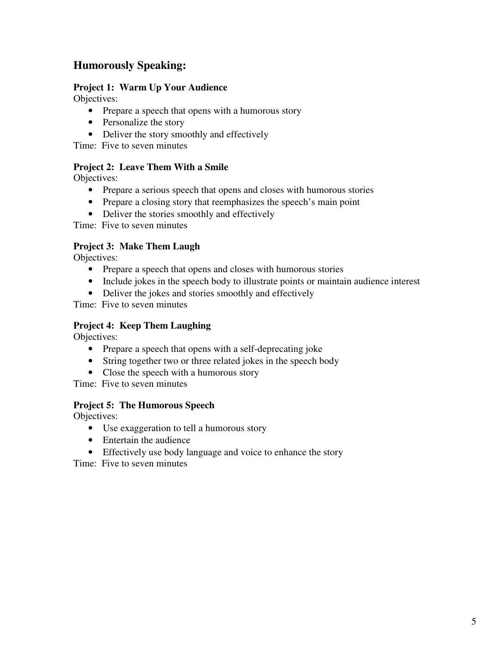# **Humorously Speaking:**

### **Project 1: Warm Up Your Audience**

Objectives:

- Prepare a speech that opens with a humorous story
- Personalize the story
- Deliver the story smoothly and effectively

Time: Five to seven minutes

### **Project 2: Leave Them With a Smile**

Objectives:

- Prepare a serious speech that opens and closes with humorous stories
- Prepare a closing story that reemphasizes the speech's main point
- Deliver the stories smoothly and effectively

Time: Five to seven minutes

# **Project 3: Make Them Laugh**

Objectives:

- Prepare a speech that opens and closes with humorous stories
- Include jokes in the speech body to illustrate points or maintain audience interest
- Deliver the jokes and stories smoothly and effectively

Time: Five to seven minutes

### **Project 4: Keep Them Laughing**

Objectives:

- Prepare a speech that opens with a self-deprecating joke
- String together two or three related jokes in the speech body
- Close the speech with a humorous story

Time: Five to seven minutes

#### **Project 5: The Humorous Speech**

Objectives:

- Use exaggeration to tell a humorous story
- Entertain the audience
- Effectively use body language and voice to enhance the story

Time: Five to seven minutes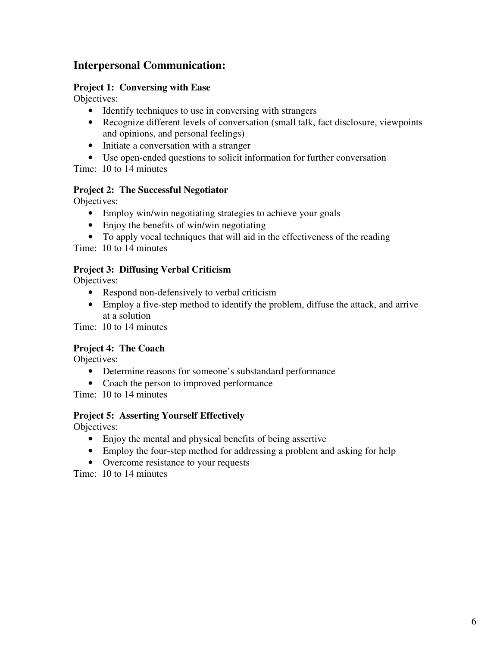# **Interpersonal Communication:**

### **Project 1: Conversing with Ease**

Objectives:

- Identify techniques to use in conversing with strangers
- Recognize different levels of conversation (small talk, fact disclosure, viewpoints and opinions, and personal feelings)
- Initiate a conversation with a stranger
- Use open-ended questions to solicit information for further conversation

Time: 10 to 14 minutes

### **Project 2: The Successful Negotiator**

Objectives:

- Employ win/win negotiating strategies to achieve your goals
- Enjoy the benefits of win/win negotiating
- To apply vocal techniques that will aid in the effectiveness of the reading

Time: 10 to 14 minutes

### **Project 3: Diffusing Verbal Criticism**

Objectives:

- Respond non-defensively to verbal criticism
- Employ a five-step method to identify the problem, diffuse the attack, and arrive at a solution

Time: 10 to 14 minutes

# **Project 4: The Coach**

Objectives:

- Determine reasons for someone's substandard performance
- Coach the person to improved performance

Time: 10 to 14 minutes

#### **Project 5: Asserting Yourself Effectively**

Objectives:

- Enjoy the mental and physical benefits of being assertive
- Employ the four-step method for addressing a problem and asking for help
- Overcome resistance to your requests

Time: 10 to 14 minutes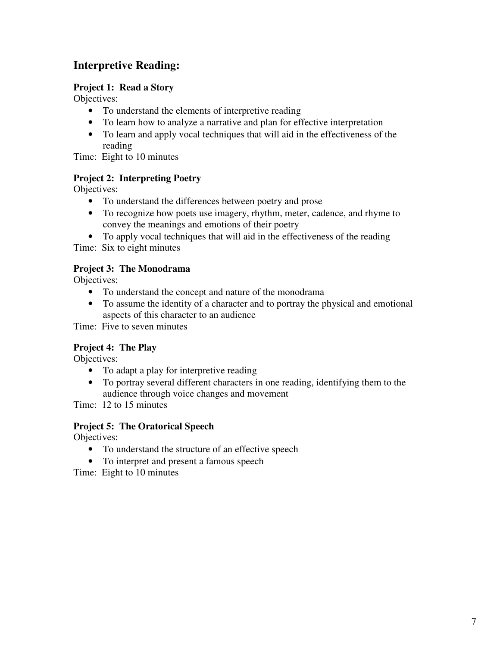# **Interpretive Reading:**

### **Project 1: Read a Story**

Objectives:

- To understand the elements of interpretive reading
- To learn how to analyze a narrative and plan for effective interpretation
- To learn and apply vocal techniques that will aid in the effectiveness of the reading

Time: Eight to 10 minutes

### **Project 2: Interpreting Poetry**

Objectives:

- To understand the differences between poetry and prose
- To recognize how poets use imagery, rhythm, meter, cadence, and rhyme to convey the meanings and emotions of their poetry
- To apply vocal techniques that will aid in the effectiveness of the reading

Time: Six to eight minutes

#### **Project 3: The Monodrama**

Objectives:

- To understand the concept and nature of the monodrama
- To assume the identity of a character and to portray the physical and emotional aspects of this character to an audience

Time: Five to seven minutes

# **Project 4: The Play**

Objectives:

- To adapt a play for interpretive reading
- To portray several different characters in one reading, identifying them to the audience through voice changes and movement

Time: 12 to 15 minutes

#### **Project 5: The Oratorical Speech**

Objectives:

- To understand the structure of an effective speech
- To interpret and present a famous speech

Time: Eight to 10 minutes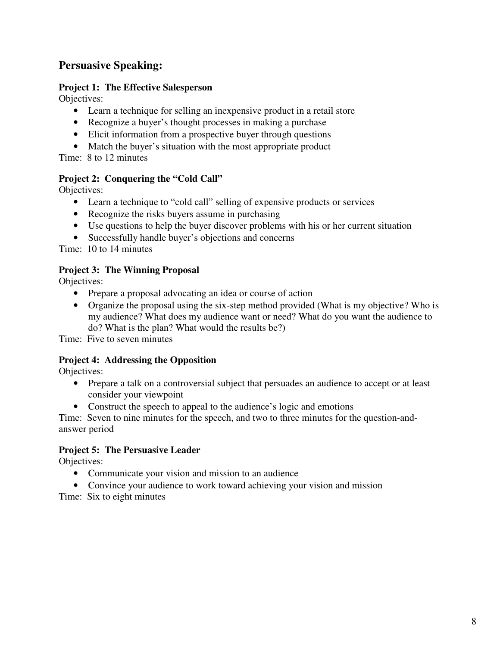# **Persuasive Speaking:**

### **Project 1: The Effective Salesperson**

Objectives:

- Learn a technique for selling an inexpensive product in a retail store
- Recognize a buyer's thought processes in making a purchase
- Elicit information from a prospective buyer through questions
- Match the buyer's situation with the most appropriate product

Time: 8 to 12 minutes

### **Project 2: Conquering the "Cold Call"**

Objectives:

- Learn a technique to "cold call" selling of expensive products or services
- Recognize the risks buyers assume in purchasing
- Use questions to help the buyer discover problems with his or her current situation
- Successfully handle buyer's objections and concerns

Time: 10 to 14 minutes

### **Project 3: The Winning Proposal**

Objectives:

- Prepare a proposal advocating an idea or course of action
- Organize the proposal using the six-step method provided (What is my objective? Who is my audience? What does my audience want or need? What do you want the audience to do? What is the plan? What would the results be?)

Time: Five to seven minutes

# **Project 4: Addressing the Opposition**

Objectives:

- Prepare a talk on a controversial subject that persuades an audience to accept or at least consider your viewpoint
- Construct the speech to appeal to the audience's logic and emotions

Time: Seven to nine minutes for the speech, and two to three minutes for the question-andanswer period

#### **Project 5: The Persuasive Leader**

Objectives:

- Communicate your vision and mission to an audience
- Convince your audience to work toward achieving your vision and mission

Time: Six to eight minutes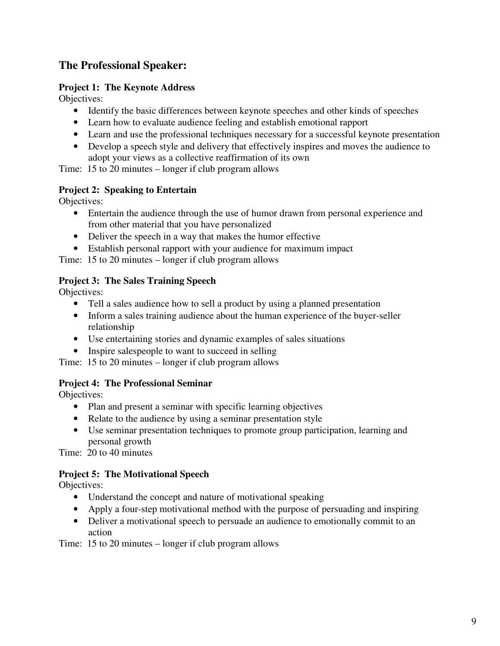# **The Professional Speaker:**

### **Project 1: The Keynote Address**

Objectives:

- Identify the basic differences between keynote speeches and other kinds of speeches
- Learn how to evaluate audience feeling and establish emotional rapport
- Learn and use the professional techniques necessary for a successful keynote presentation
- Develop a speech style and delivery that effectively inspires and moves the audience to adopt your views as a collective reaffirmation of its own

Time: 15 to 20 minutes – longer if club program allows

### **Project 2: Speaking to Entertain**

Objectives:

- Entertain the audience through the use of humor drawn from personal experience and from other material that you have personalized
- Deliver the speech in a way that makes the humor effective
- Establish personal rapport with your audience for maximum impact

Time: 15 to 20 minutes – longer if club program allows

### **Project 3: The Sales Training Speech**

Objectives:

- Tell a sales audience how to sell a product by using a planned presentation
- Inform a sales training audience about the human experience of the buyer-seller relationship
- Use entertaining stories and dynamic examples of sales situations
- Inspire salespeople to want to succeed in selling

Time: 15 to 20 minutes – longer if club program allows

#### **Project 4: The Professional Seminar**

Objectives:

- Plan and present a seminar with specific learning objectives
- Relate to the audience by using a seminar presentation style
- Use seminar presentation techniques to promote group participation, learning and personal growth

Time: 20 to 40 minutes

# **Project 5: The Motivational Speech**

Objectives:

- Understand the concept and nature of motivational speaking
- Apply a four-step motivational method with the purpose of persuading and inspiring
- Deliver a motivational speech to persuade an audience to emotionally commit to an action

Time: 15 to 20 minutes – longer if club program allows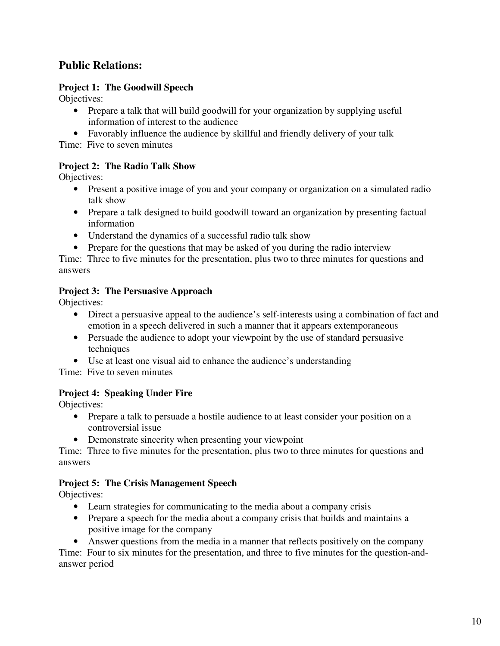# **Public Relations:**

# **Project 1: The Goodwill Speech**

Objectives:

- Prepare a talk that will build goodwill for your organization by supplying useful information of interest to the audience
- Favorably influence the audience by skillful and friendly delivery of your talk

Time: Five to seven minutes

# **Project 2: The Radio Talk Show**

Objectives:

- Present a positive image of you and your company or organization on a simulated radio talk show
- Prepare a talk designed to build goodwill toward an organization by presenting factual information
- Understand the dynamics of a successful radio talk show
- Prepare for the questions that may be asked of you during the radio interview

Time: Three to five minutes for the presentation, plus two to three minutes for questions and answers

# **Project 3: The Persuasive Approach**

Objectives:

- Direct a persuasive appeal to the audience's self-interests using a combination of fact and emotion in a speech delivered in such a manner that it appears extemporaneous
- Persuade the audience to adopt your viewpoint by the use of standard persuasive techniques
- Use at least one visual aid to enhance the audience's understanding

Time: Five to seven minutes

# **Project 4: Speaking Under Fire**

Objectives:

- Prepare a talk to persuade a hostile audience to at least consider your position on a controversial issue
- Demonstrate sincerity when presenting your viewpoint

Time: Three to five minutes for the presentation, plus two to three minutes for questions and answers

# **Project 5: The Crisis Management Speech**

Objectives:

- Learn strategies for communicating to the media about a company crisis
- Prepare a speech for the media about a company crisis that builds and maintains a positive image for the company
- Answer questions from the media in a manner that reflects positively on the company

Time: Four to six minutes for the presentation, and three to five minutes for the question-andanswer period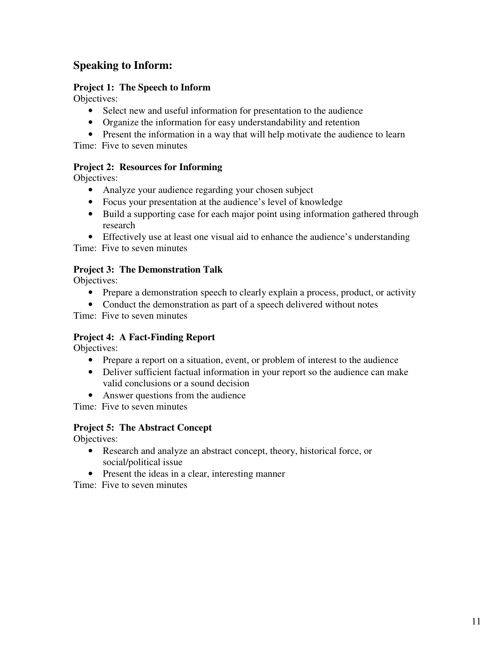# **Speaking to Inform:**

# **Project 1: The Speech to Inform**

Objectives:

- Select new and useful information for presentation to the audience
- Organize the information for easy understandability and retention
- Present the information in a way that will help motivate the audience to learn

Time: Five to seven minutes

### **Project 2: Resources for Informing**

Objectives:

- Analyze your audience regarding your chosen subject
- Focus your presentation at the audience's level of knowledge
- Build a supporting case for each major point using information gathered through research
- Effectively use at least one visual aid to enhance the audience's understanding

Time: Five to seven minutes

### **Project 3: The Demonstration Talk**

Objectives:

- Prepare a demonstration speech to clearly explain a process, product, or activity
- Conduct the demonstration as part of a speech delivered without notes

Time: Five to seven minutes

# **Project 4: A Fact-Finding Report**

Objectives:

- Prepare a report on a situation, event, or problem of interest to the audience
- Deliver sufficient factual information in your report so the audience can make valid conclusions or a sound decision
- Answer questions from the audience

Time: Five to seven minutes

# **Project 5: The Abstract Concept**

Objectives:

- Research and analyze an abstract concept, theory, historical force, or social/political issue
- Present the ideas in a clear, interesting manner

Time: Five to seven minutes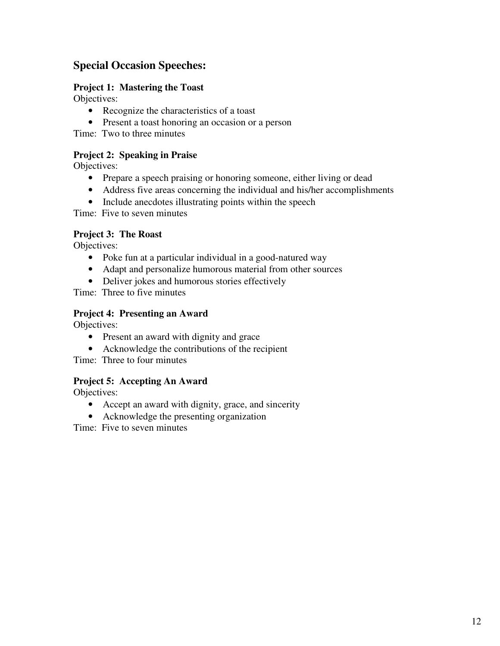# **Special Occasion Speeches:**

### **Project 1: Mastering the Toast**

Objectives:

- Recognize the characteristics of a toast
- Present a toast honoring an occasion or a person

Time: Two to three minutes

# **Project 2: Speaking in Praise**

Objectives:

- Prepare a speech praising or honoring someone, either living or dead
- Address five areas concerning the individual and his/her accomplishments
- Include anecdotes illustrating points within the speech

Time: Five to seven minutes

# **Project 3: The Roast**

Objectives:

- Poke fun at a particular individual in a good-natured way
- Adapt and personalize humorous material from other sources
- Deliver jokes and humorous stories effectively

Time: Three to five minutes

### **Project 4: Presenting an Award**

Objectives:

- Present an award with dignity and grace
- Acknowledge the contributions of the recipient

Time: Three to four minutes

# **Project 5: Accepting An Award**

Objectives:

- Accept an award with dignity, grace, and sincerity
- Acknowledge the presenting organization

Time: Five to seven minutes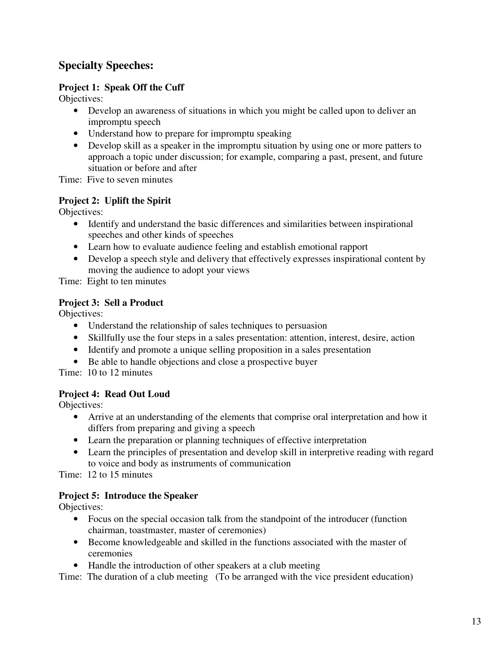# **Specialty Speeches:**

### **Project 1: Speak Off the Cuff**

Objectives:

- Develop an awareness of situations in which you might be called upon to deliver an impromptu speech
- Understand how to prepare for impromptu speaking
- Develop skill as a speaker in the impromptu situation by using one or more patters to approach a topic under discussion; for example, comparing a past, present, and future situation or before and after

Time: Five to seven minutes

### **Project 2: Uplift the Spirit**

Objectives:

- Identify and understand the basic differences and similarities between inspirational speeches and other kinds of speeches
- Learn how to evaluate audience feeling and establish emotional rapport
- Develop a speech style and delivery that effectively expresses inspirational content by moving the audience to adopt your views

Time: Eight to ten minutes

### **Project 3: Sell a Product**

Objectives:

- Understand the relationship of sales techniques to persuasion
- Skillfully use the four steps in a sales presentation: attention, interest, desire, action
- Identify and promote a unique selling proposition in a sales presentation
- Be able to handle objections and close a prospective buyer

Time: 10 to 12 minutes

# **Project 4: Read Out Loud**

Objectives:

- Arrive at an understanding of the elements that comprise oral interpretation and how it differs from preparing and giving a speech
- Learn the preparation or planning techniques of effective interpretation
- Learn the principles of presentation and develop skill in interpretive reading with regard to voice and body as instruments of communication

Time: 12 to 15 minutes

# **Project 5: Introduce the Speaker**

Objectives:

- Focus on the special occasion talk from the standpoint of the introducer (function chairman, toastmaster, master of ceremonies)
- Become knowledgeable and skilled in the functions associated with the master of ceremonies
- Handle the introduction of other speakers at a club meeting

Time: The duration of a club meeting (To be arranged with the vice president education)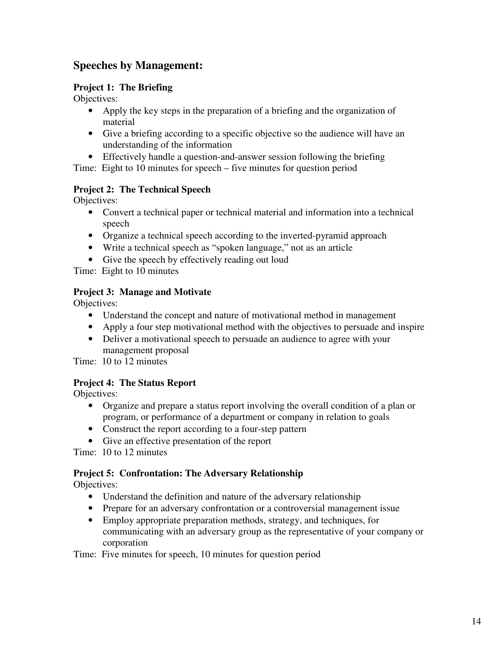# **Speeches by Management:**

### **Project 1: The Briefing**

Objectives:

- Apply the key steps in the preparation of a briefing and the organization of material
- Give a briefing according to a specific objective so the audience will have an understanding of the information
- Effectively handle a question-and-answer session following the briefing

Time: Eight to 10 minutes for speech – five minutes for question period

# **Project 2: The Technical Speech**

Objectives:

- Convert a technical paper or technical material and information into a technical speech
- Organize a technical speech according to the inverted-pyramid approach
- Write a technical speech as "spoken language," not as an article
- Give the speech by effectively reading out loud

Time: Eight to 10 minutes

# **Project 3: Manage and Motivate**

Objectives:

- Understand the concept and nature of motivational method in management
- Apply a four step motivational method with the objectives to persuade and inspire
- Deliver a motivational speech to persuade an audience to agree with your management proposal

Time: 10 to 12 minutes

# **Project 4: The Status Report**

Objectives:

- Organize and prepare a status report involving the overall condition of a plan or program, or performance of a department or company in relation to goals
- Construct the report according to a four-step pattern
- Give an effective presentation of the report

Time: 10 to 12 minutes

# **Project 5: Confrontation: The Adversary Relationship**

Objectives:

- Understand the definition and nature of the adversary relationship
- Prepare for an adversary confrontation or a controversial management issue
- Employ appropriate preparation methods, strategy, and techniques, for communicating with an adversary group as the representative of your company or corporation

Time: Five minutes for speech, 10 minutes for question period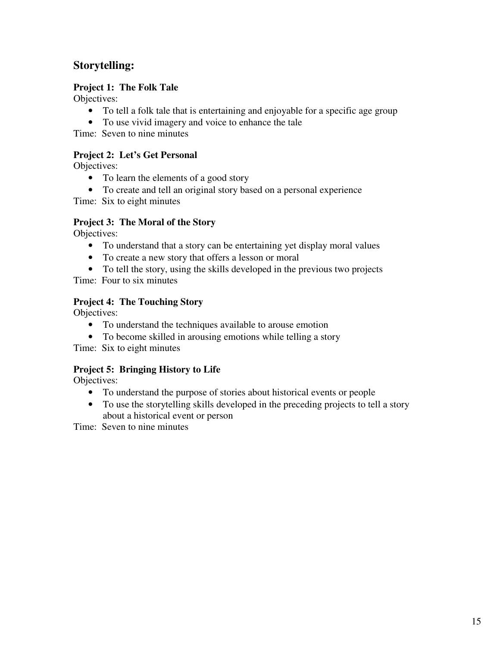# **Storytelling:**

### **Project 1: The Folk Tale**

Objectives:

- To tell a folk tale that is entertaining and enjoyable for a specific age group
- To use vivid imagery and voice to enhance the tale

Time: Seven to nine minutes

### **Project 2: Let's Get Personal**

Objectives:

- To learn the elements of a good story
- To create and tell an original story based on a personal experience

Time: Six to eight minutes

### **Project 3: The Moral of the Story**

Objectives:

- To understand that a story can be entertaining yet display moral values
- To create a new story that offers a lesson or moral
- To tell the story, using the skills developed in the previous two projects

Time: Four to six minutes

# **Project 4: The Touching Story**

Objectives:

- To understand the techniques available to arouse emotion
- To become skilled in arousing emotions while telling a story

Time: Six to eight minutes

# **Project 5: Bringing History to Life**

Objectives:

- To understand the purpose of stories about historical events or people
- To use the storytelling skills developed in the preceding projects to tell a story about a historical event or person

Time: Seven to nine minutes